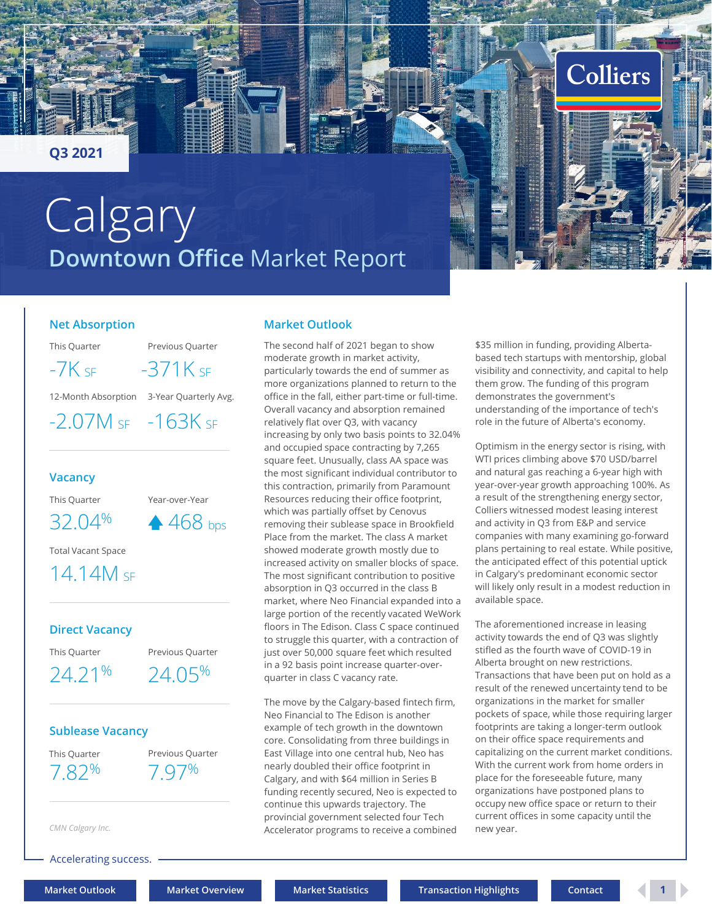### <span id="page-0-0"></span>**Q3 2021**

# **Downtown Office** Market Report **Calgary**

### **Net Absorption**

This Quarter Previous Quarter

 $-7K$  SF  $-371K$  SF

12-Month Absorption 3-Year Quarterly Avg.

-2.07M SF -163K SF

### **Vacancy**

This Quarter Year-over-Year

 $32.04\%$   $\rightarrow$  468 bps

Total Vacant Space

## 14.14M SF

### **Direct Vacancy**

This Quarter Previous Quarter

24.21% 24.05%

### **Sublease Vacancy**

This Quarter Previous Quarter 7.82% 7.97%

*CMN Calgary Inc.*

Accelerating success.

### **Market Outlook**

The second half of 2021 began to show moderate growth in market activity, particularly towards the end of summer as more organizations planned to return to the office in the fall, either part-time or full-time. Overall vacancy and absorption remained relatively flat over Q3, with vacancy increasing by only two basis points to 32.04% and occupied space contracting by 7,265 square feet. Unusually, class AA space was the most significant individual contributor to this contraction, primarily from Paramount Resources reducing their office footprint, which was partially offset by Cenovus removing their sublease space in Brookfield Place from the market. The class A market showed moderate growth mostly due to increased activity on smaller blocks of space. The most significant contribution to positive absorption in Q3 occurred in the class B market, where Neo Financial expanded into a large portion of the recently vacated WeWork floors in The Edison. Class C space continued to struggle this quarter, with a contraction of just over 50,000 square feet which resulted in a 92 basis point increase quarter-overquarter in class C vacancy rate.

The move by the Calgary-based fintech firm, Neo Financial to The Edison is another example of tech growth in the downtown core. Consolidating from three buildings in East Village into one central hub, Neo has nearly doubled their office footprint in Calgary, and with \$64 million in Series B funding recently secured, Neo is expected to continue this upwards trajectory. The provincial government selected four Tech Accelerator programs to receive a combined \$35 million in funding, providing Albertabased tech startups with mentorship, global visibility and connectivity, and capital to help them grow. The funding of this program demonstrates the government's understanding of the importance of tech's role in the future of Alberta's economy.

Colliers

Optimism in the energy sector is rising, with WTI prices climbing above \$70 USD/barrel and natural gas reaching a 6-year high with year-over-year growth approaching 100%. As a result of the strengthening energy sector, Colliers witnessed modest leasing interest and activity in Q3 from E&P and service companies with many examining go-forward plans pertaining to real estate. While positive, the anticipated effect of this potential uptick in Calgary's predominant economic sector will likely only result in a modest reduction in available space.

The aforementioned increase in leasing activity towards the end of Q3 was slightly stifled as the fourth wave of COVID-19 in Alberta brought on new restrictions. Transactions that have been put on hold as a result of the renewed uncertainty tend to be organizations in the market for smaller pockets of space, while those requiring larger footprints are taking a longer-term outlook on their office space requirements and capitalizing on the current market conditions. With the current work from home orders in place for the foreseeable future, many organizations have postponed plans to occupy new office space or return to their current offices in some capacity until the new year.

**[Market Outlook](#page-0-0) [Market Overview](#page-1-0) [Market Statistics](#page-2-0) [Transaction Highlights](#page-2-0) [Contact](#page-3-0) 1**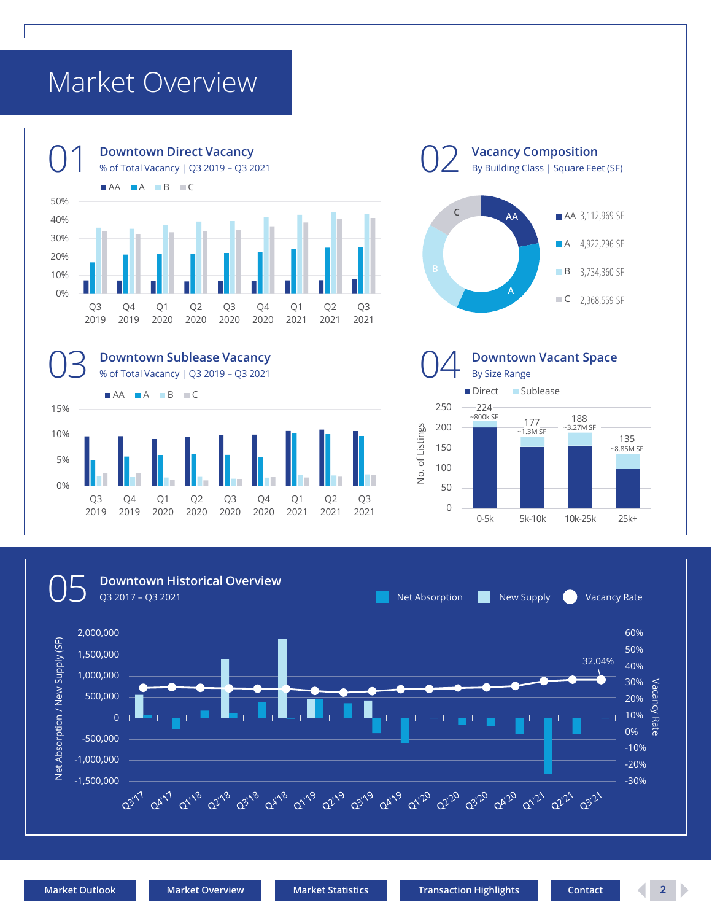# <span id="page-1-0"></span>Market Overview











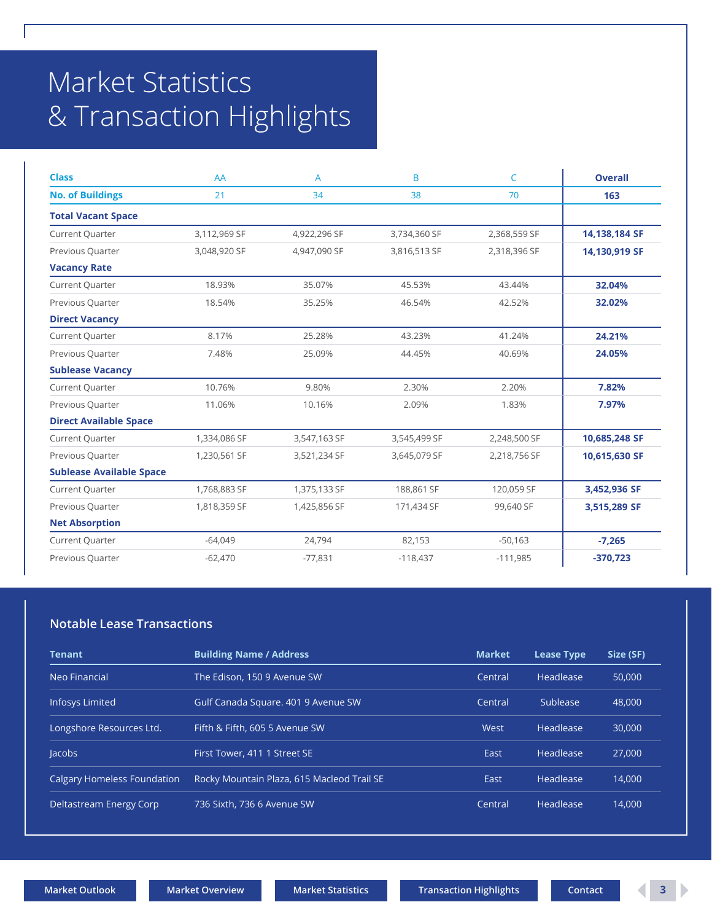# <span id="page-2-0"></span>Market Statistics & Transaction Highlights

| <b>Class</b>                    | AA           | A            | B            | C            | <b>Overall</b> |
|---------------------------------|--------------|--------------|--------------|--------------|----------------|
| <b>No. of Buildings</b>         | 21           | 34           | 38           | 70           | 163            |
| <b>Total Vacant Space</b>       |              |              |              |              |                |
| Current Quarter                 | 3,112,969 SF | 4,922,296 SF | 3,734,360 SF | 2,368,559 SF | 14,138,184 SF  |
| Previous Quarter                | 3,048,920 SF | 4,947,090 SF | 3,816,513 SF | 2,318,396 SF | 14,130,919 SF  |
| <b>Vacancy Rate</b>             |              |              |              |              |                |
| Current Quarter                 | 18.93%       | 35.07%       | 45.53%       | 43.44%       | 32.04%         |
| Previous Quarter                | 18.54%       | 35.25%       | 46.54%       | 42.52%       | 32.02%         |
| <b>Direct Vacancy</b>           |              |              |              |              |                |
| Current Quarter                 | 8.17%        | 25.28%       | 43.23%       | 41.24%       | 24.21%         |
| Previous Quarter                | 7.48%        | 25.09%       | 44.45%       | 40.69%       | 24.05%         |
| <b>Sublease Vacancy</b>         |              |              |              |              |                |
| Current Quarter                 | 10.76%       | 9.80%        | 2.30%        | 2.20%        | 7.82%          |
| Previous Quarter                | 11.06%       | 10.16%       | 2.09%        | 1.83%        | 7.97%          |
| <b>Direct Available Space</b>   |              |              |              |              |                |
| Current Quarter                 | 1,334,086 SF | 3,547,163 SF | 3,545,499 SF | 2,248,500 SF | 10,685,248 SF  |
| Previous Quarter                | 1,230,561 SF | 3,521,234 SF | 3,645,079 SF | 2,218,756 SF | 10,615,630 SF  |
| <b>Sublease Available Space</b> |              |              |              |              |                |
| Current Quarter                 | 1,768,883 SF | 1,375,133 SF | 188,861 SF   | 120,059 SF   | 3,452,936 SF   |
| Previous Quarter                | 1,818,359 SF | 1,425,856 SF | 171,434 SF   | 99,640 SF    | 3,515,289 SF   |
| <b>Net Absorption</b>           |              |              |              |              |                |
| Current Quarter                 | $-64,049$    | 24,794       | 82,153       | $-50,163$    | $-7,265$       |
| Previous Quarter                | $-62,470$    | $-77,831$    | $-118,437$   | $-111,985$   | $-370,723$     |

### **Notable Lease Transactions**

| <b>Tenant</b>                      | <b>Building Name / Address</b>             | <b>Market</b> | <b>Lease Type</b> | Size (SF) |
|------------------------------------|--------------------------------------------|---------------|-------------------|-----------|
| Neo Financial                      | The Edison, 150 9 Avenue SW                | Central       | Headlease         | 50,000    |
| <b>Infosys Limited</b>             | Gulf Canada Square, 401 9 Avenue SW        | Central       | Sublease          | 48,000    |
| Longshore Resources Ltd.           | Fifth & Fifth, 605 5 Avenue SW             | West          | Headlease         | 30,000    |
| <b>lacobs</b>                      | First Tower, 411 1 Street SE               | East          | Headlease         | 27,000    |
| <b>Calgary Homeless Foundation</b> | Rocky Mountain Plaza, 615 Macleod Trail SE | East          | <b>Headlease</b>  | 14.000    |
| Deltastream Energy Corp            | 736 Sixth, 736 6 Avenue SW                 | Central       | Headlease         | 14.000    |